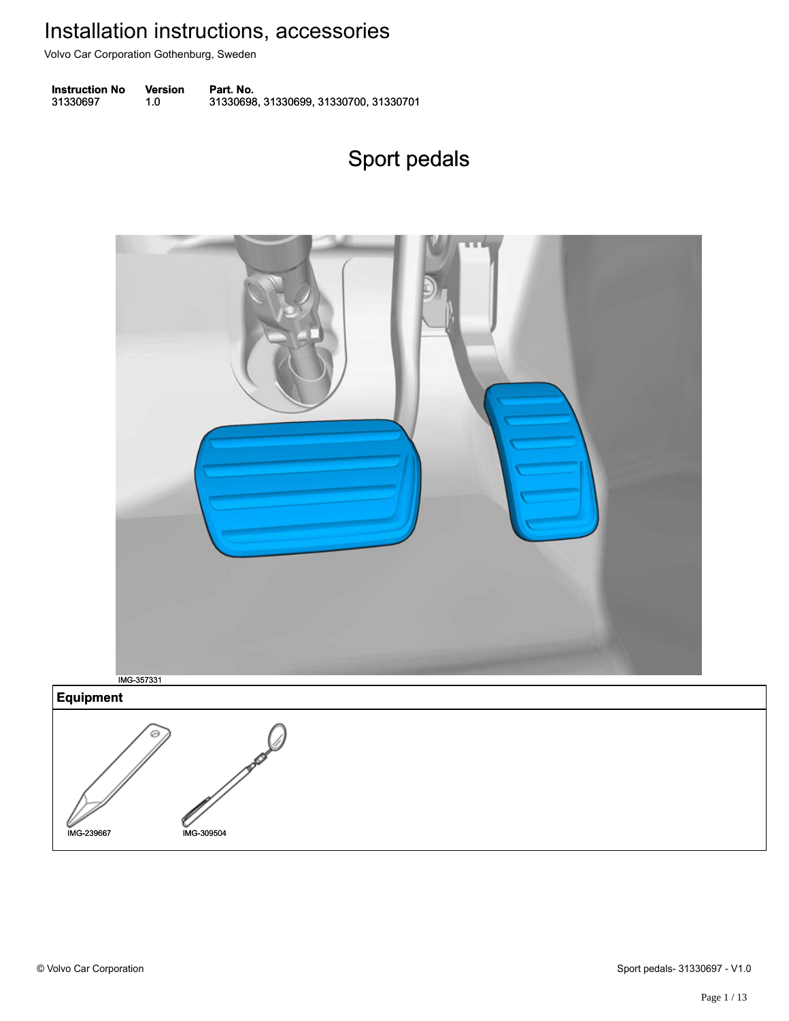Volvo Car Corporation Gothenburg, Sweden

**Instruction No** Version Part. No. 31330697 1.0 31330698, 31330699, 31330700, 31330701 313306971.031330698, 31330699, 31330700, 31330701

# Sport pedals Sport pedals

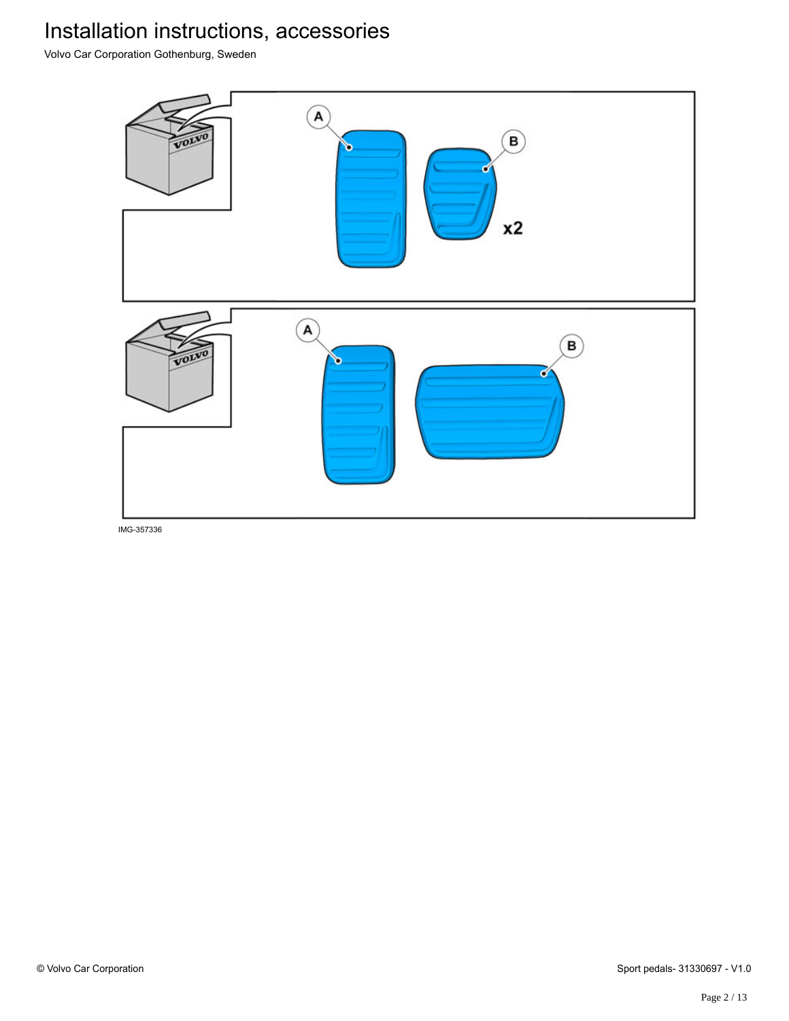Volvo Car Corporation Gothenburg, Sweden

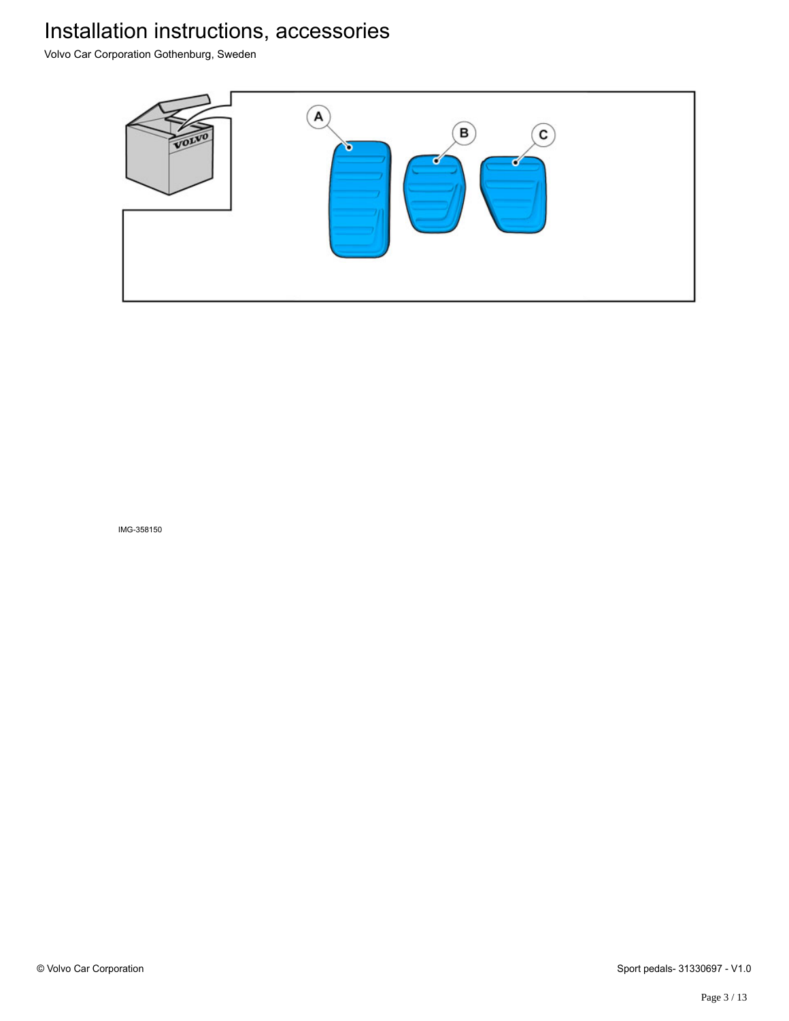Volvo Car Corporation Gothenburg, Sweden

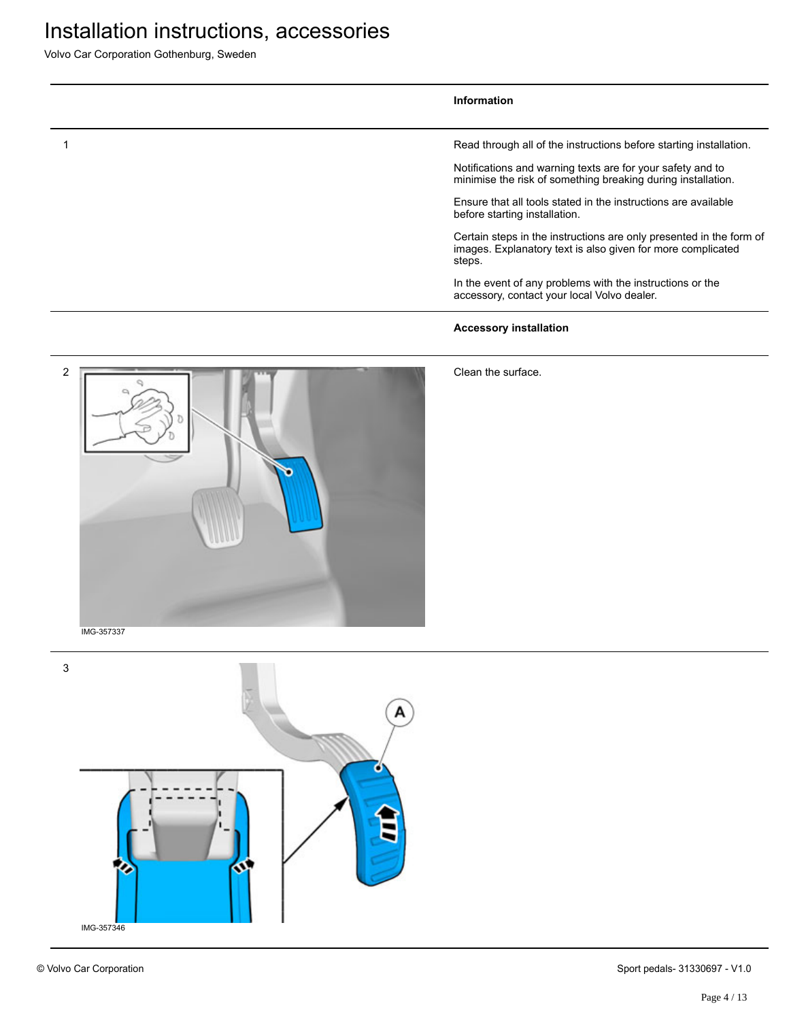Volvo Car Corporation Gothenburg, Sweden

#### **Information**

1 Read through all of the instructions before starting installation.

Notifications and warning texts are for your safety and to minimise the risk of something breaking during installation.

Ensure that all tools stated in the instructions are available before starting installation.

Certain steps in the instructions are only presented in the form of images. Explanatory text is also given for more complicated steps.

In the event of any problems with the instructions or the accessory, contact your local Volvo dealer.

#### **Accessory installation**

2 Ŧ IMG-357337

Clean the surface.

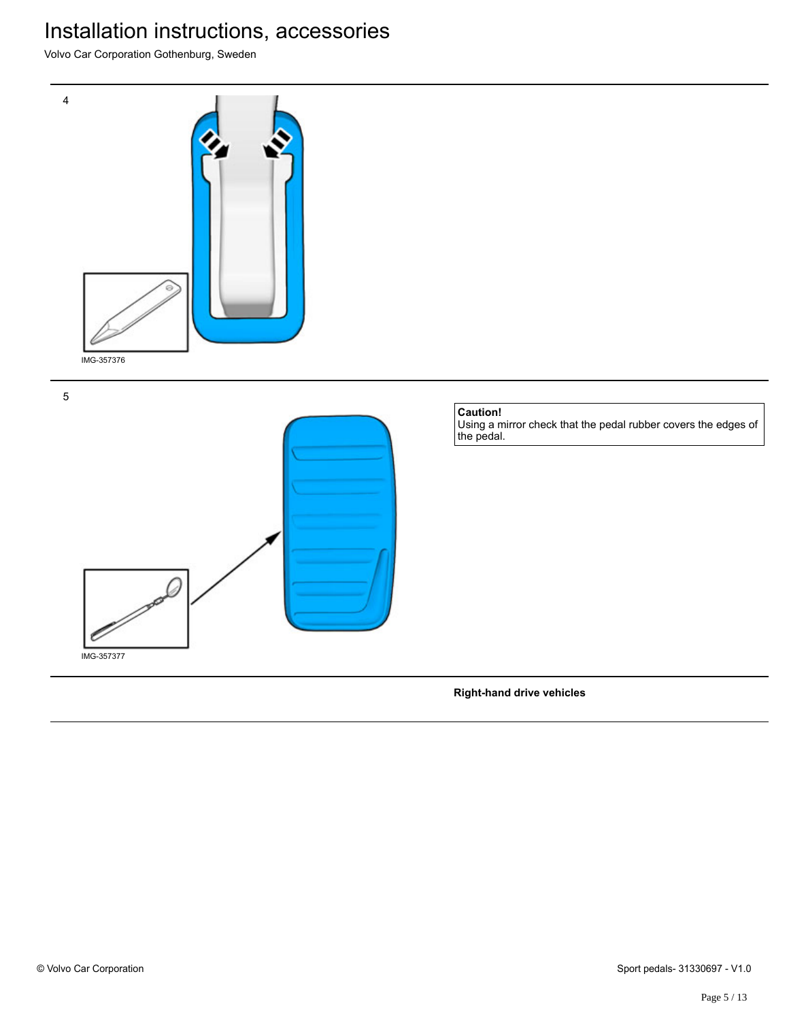Volvo Car Corporation Gothenburg, Sweden



5



**Right-hand drive vehicles**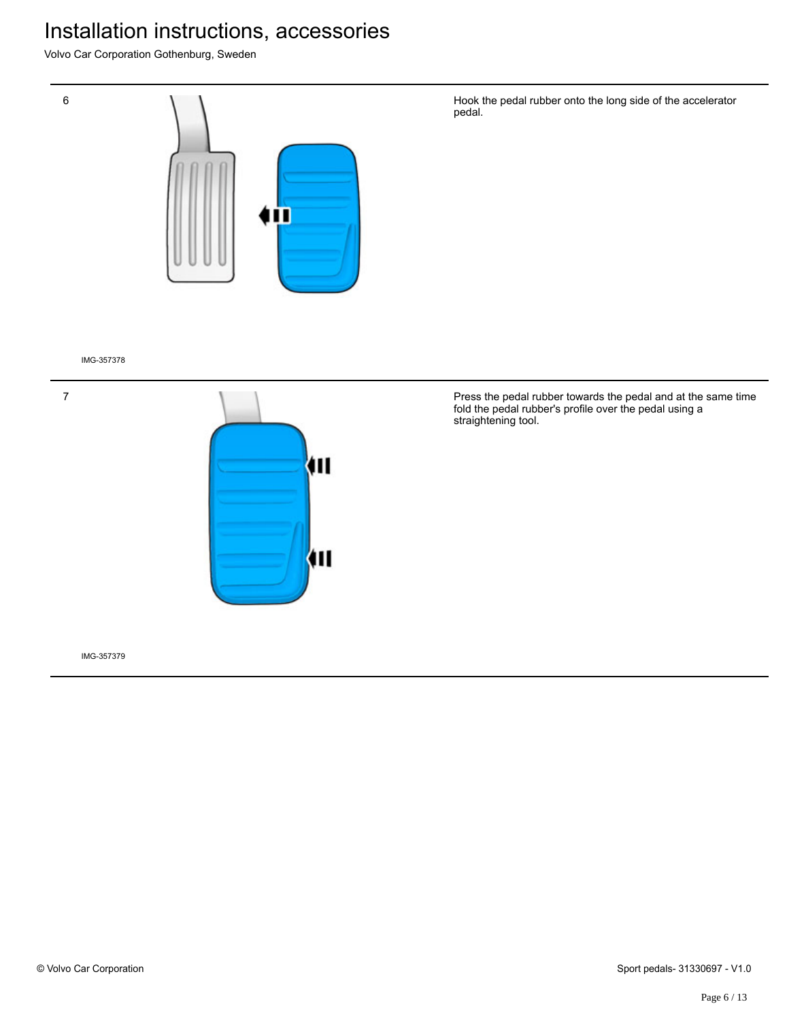Volvo Car Corporation Gothenburg, Sweden



IMG-357378

7



Press the pedal rubber towards the pedal and at the same time fold the pedal rubber's profile over the pedal using a straightening tool.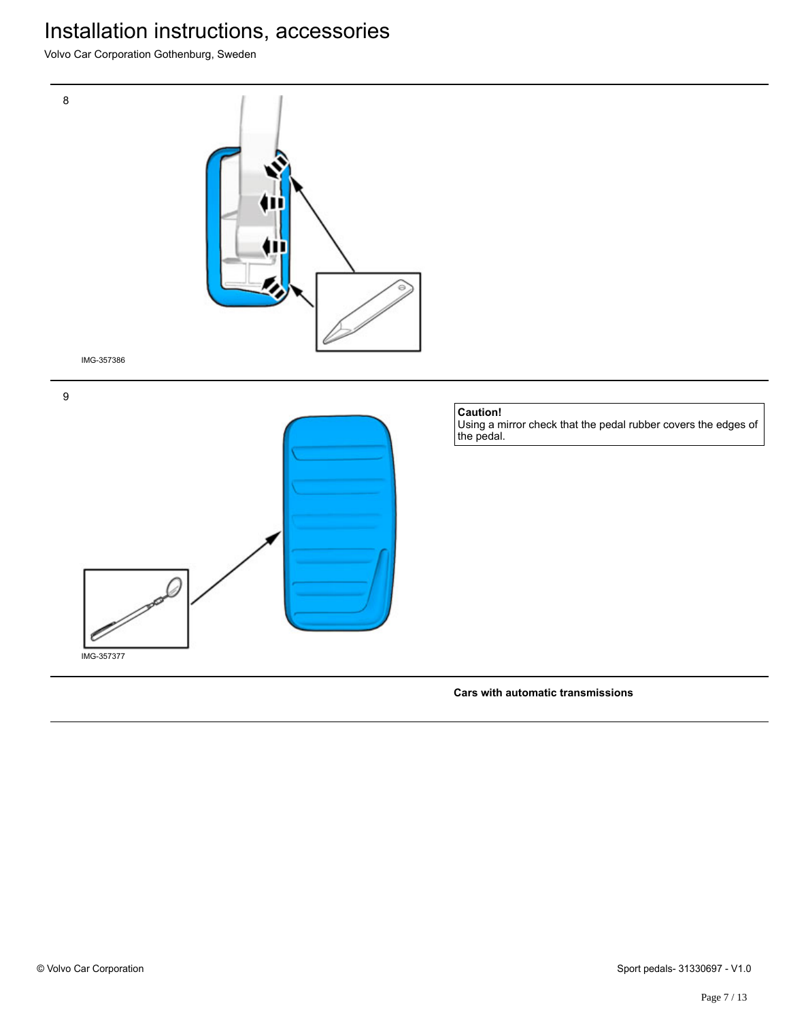Volvo Car Corporation Gothenburg, Sweden



**Cars with automatic transmissions**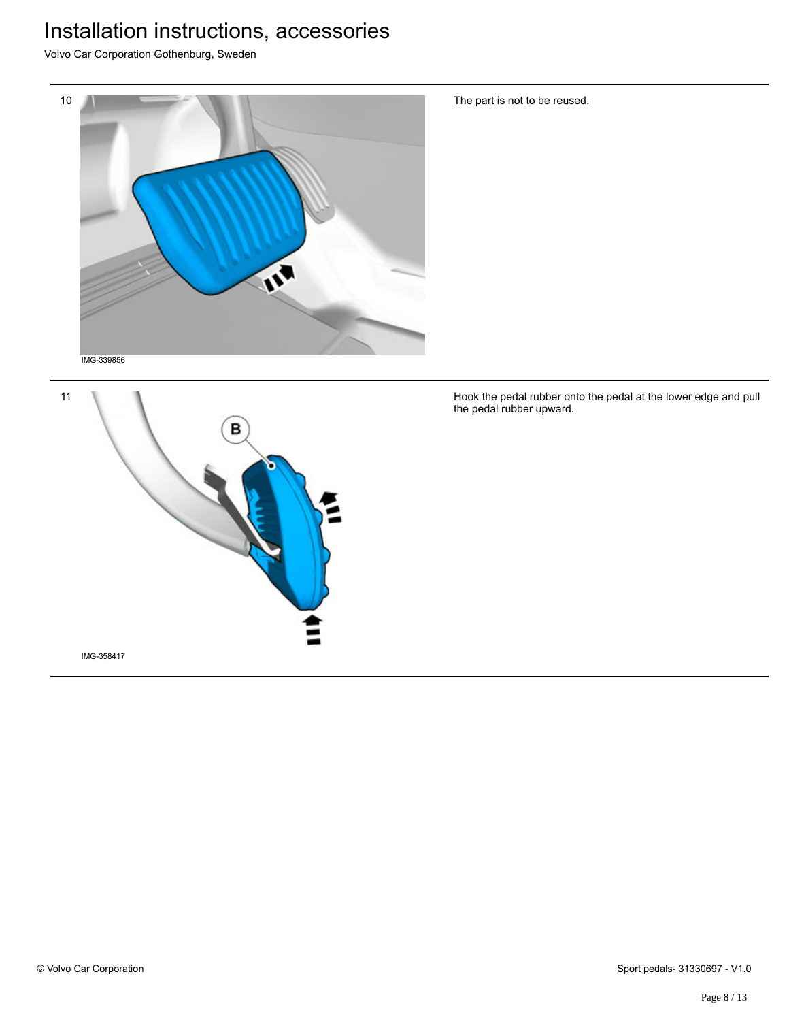Volvo Car Corporation Gothenburg, Sweden





The part is not to be reused.

Hook the pedal rubber onto the pedal at the lower edge and pull the pedal rubber upward.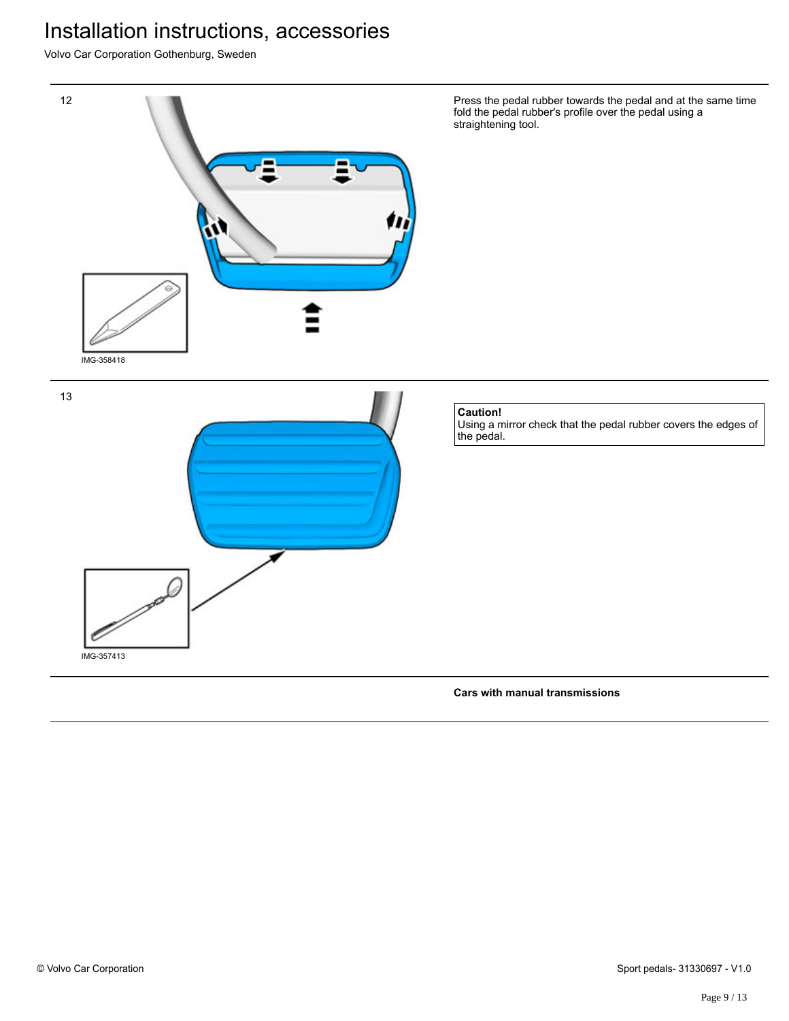Volvo Car Corporation Gothenburg, Sweden



**Cars with manual transmissions**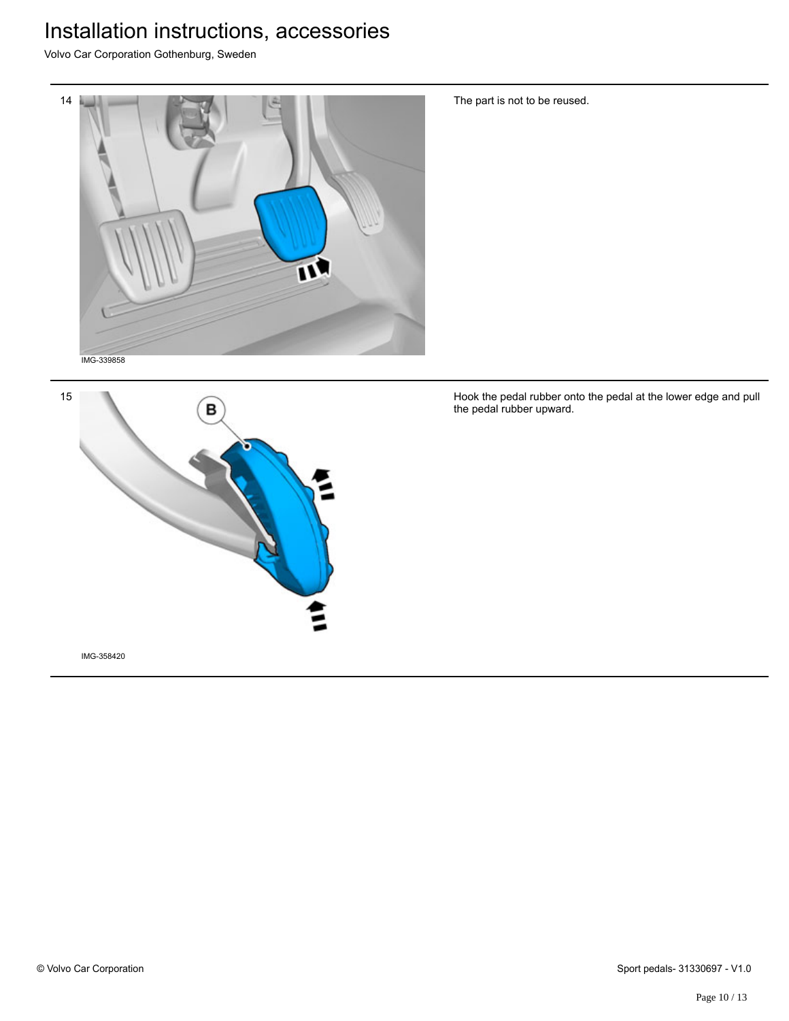Volvo Car Corporation Gothenburg, Sweden





The part is not to be reused.

Hook the pedal rubber onto the pedal at the lower edge and pull the pedal rubber upward.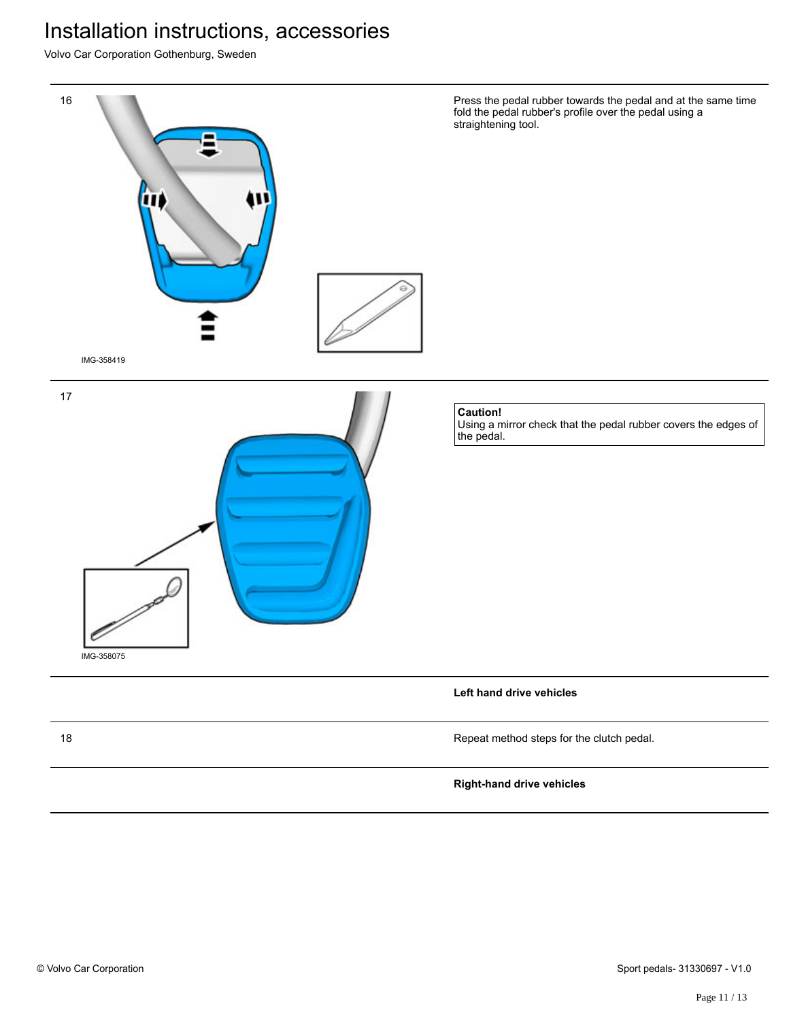Volvo Car Corporation Gothenburg, Sweden

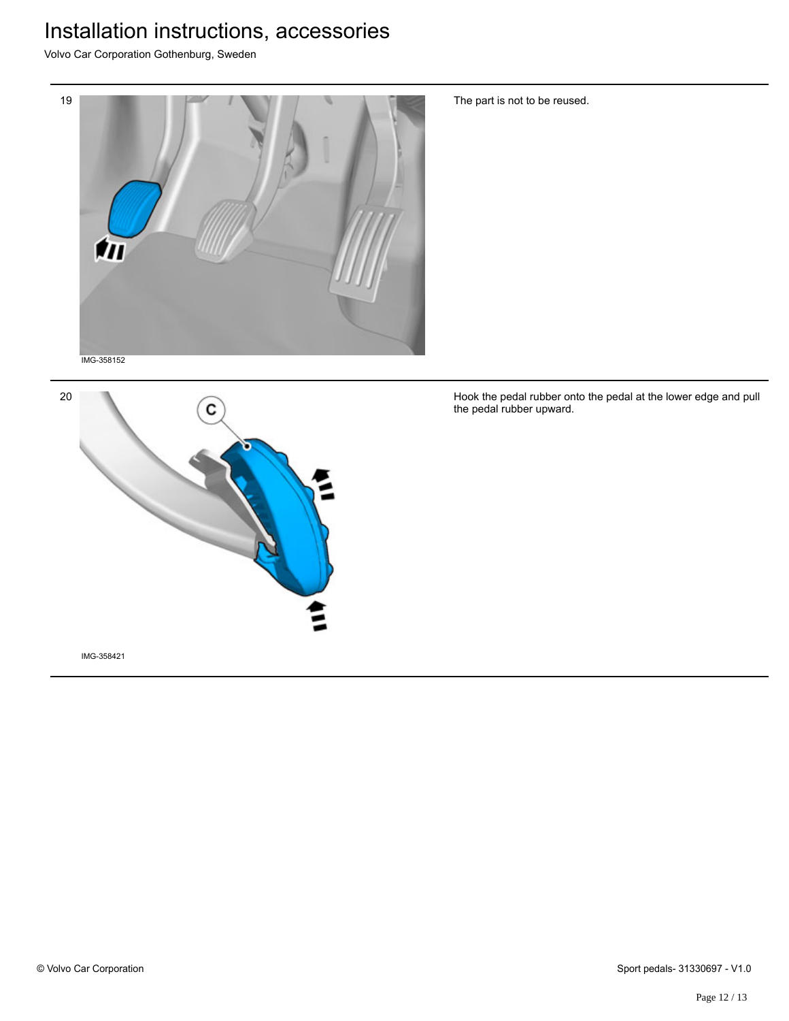Volvo Car Corporation Gothenburg, Sweden





The part is not to be reused.

Hook the pedal rubber onto the pedal at the lower edge and pull the pedal rubber upward.